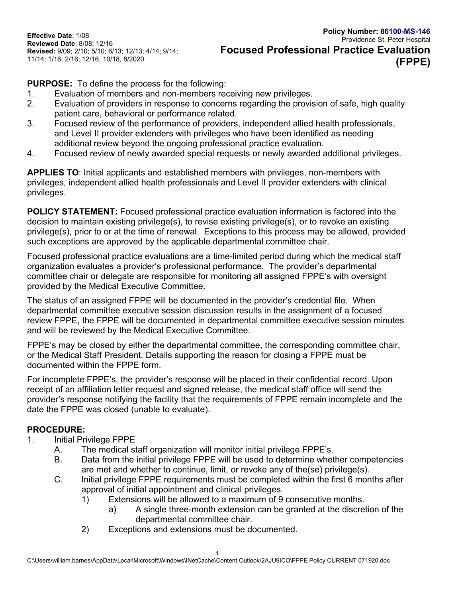**Effective Date**: 1/08 **Reviewed Date**: 8/08; 12/16 **Revised:** 9/09; 2/10; 5/10; 6/13; 12/13; 4/14; 9/14; 11/14; 1/16; 2/16; 12/16, 10/18, 8/2020

**PURPOSE:** To define the process for the following:

- 1. Evaluation of members and non-members receiving new privileges.
- 2. Evaluation of providers in response to concerns regarding the provision of safe, high quality patient care, behavioral or performance related.
- 3. Focused review of the performance of providers, independent allied health professionals, and Level II provider extenders with privileges who have been identified as needing additional review beyond the ongoing professional practice evaluation.
- 4. Focused review of newly awarded special requests or newly awarded additional privileges.

**APPLIES TO**: Initial applicants and established members with privileges, non-members with privileges, independent allied health professionals and Level II provider extenders with clinical privileges.

**POLICY STATEMENT:** Focused professional practice evaluation information is factored into the decision to maintain existing privilege(s), to revise existing privilege(s), or to revoke an existing privilege(s), prior to or at the time of renewal. Exceptions to this process may be allowed, provided such exceptions are approved by the applicable departmental committee chair.

Focused professional practice evaluations are a time-limited period during which the medical staff organization evaluates a provider's professional performance. The provider's departmental committee chair or delegate are responsible for monitoring all assigned FPPE's with oversight provided by the Medical Executive Committee.

The status of an assigned FPPE will be documented in the provider's credential file. When departmental committee executive session discussion results in the assignment of a focused review FPPE, the FPPE will be documented in departmental committee executive session minutes and will be reviewed by the Medical Executive Committee.

FPPE's may be closed by either the departmental committee, the corresponding committee chair, or the Medical Staff President. Details supporting the reason for closing a FPPE must be documented within the FPPE form.

For incomplete FPPE's, the provider's response will be placed in their confidential record. Upon receipt of an affiliation letter request and signed release, the medical staff office will send the provider's response notifying the facility that the requirements of FPPE remain incomplete and the date the FPPE was closed (unable to evaluate).

## **PROCEDURE:**

- 1. Initial Privilege FPPE
	- A. The medical staff organization will monitor initial privilege FPPE's.
	- B. Data from the initial privilege FPPE will be used to determine whether competencies are met and whether to continue, limit, or revoke any of the(se) privilege(s).
	- C. Initial privilege FPPE requirements must be completed within the first 6 months after approval of initial appointment and clinical privileges.
		- 1) Extensions will be allowed to a maximum of 9 consecutive months.
			- a) A single three-month extension can be granted at the discretion of the departmental committee chair.
		- 2) Exceptions and extensions must be documented.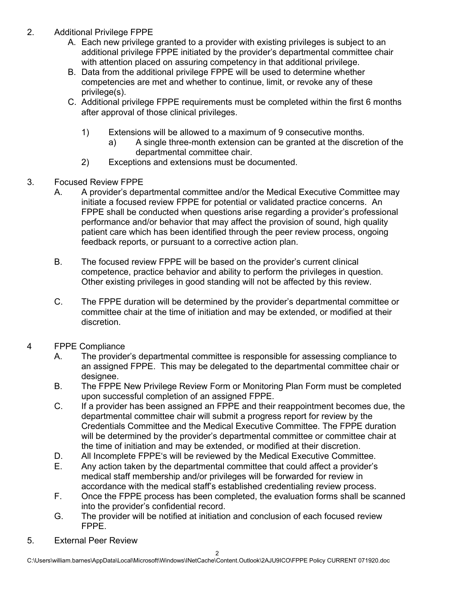- 2. Additional Privilege FPPE
	- A. Each new privilege granted to a provider with existing privileges is subject to an additional privilege FPPE initiated by the provider's departmental committee chair with attention placed on assuring competency in that additional privilege.
	- B. Data from the additional privilege FPPE will be used to determine whether competencies are met and whether to continue, limit, or revoke any of these privilege(s).
	- C. Additional privilege FPPE requirements must be completed within the first 6 months after approval of those clinical privileges.
		- 1) Extensions will be allowed to a maximum of 9 consecutive months.
			- a) A single three-month extension can be granted at the discretion of the departmental committee chair.
		- 2) Exceptions and extensions must be documented.
- 3. Focused Review FPPE
	- A. A provider's departmental committee and/or the Medical Executive Committee may initiate a focused review FPPE for potential or validated practice concerns. An FPPE shall be conducted when questions arise regarding a provider's professional performance and/or behavior that may affect the provision of sound, high quality patient care which has been identified through the peer review process, ongoing feedback reports, or pursuant to a corrective action plan.
	- B. The focused review FPPE will be based on the provider's current clinical competence, practice behavior and ability to perform the privileges in question. Other existing privileges in good standing will not be affected by this review.
	- C. The FPPE duration will be determined by the provider's departmental committee or committee chair at the time of initiation and may be extended, or modified at their discretion.
- 4 FPPE Compliance
	- A. The provider's departmental committee is responsible for assessing compliance to an assigned FPPE. This may be delegated to the departmental committee chair or designee.
	- B. The FPPE New Privilege Review Form or Monitoring Plan Form must be completed upon successful completion of an assigned FPPE.
	- C. If a provider has been assigned an FPPE and their reappointment becomes due, the departmental committee chair will submit a progress report for review by the Credentials Committee and the Medical Executive Committee. The FPPE duration will be determined by the provider's departmental committee or committee chair at the time of initiation and may be extended, or modified at their discretion.
	- D. All Incomplete FPPE's will be reviewed by the Medical Executive Committee.
	- E. Any action taken by the departmental committee that could affect a provider's medical staff membership and/or privileges will be forwarded for review in accordance with the medical staff's established credentialing review process.
	- F. Once the FPPE process has been completed, the evaluation forms shall be scanned into the provider's confidential record.
	- G. The provider will be notified at initiation and conclusion of each focused review FPPE.
- 5. External Peer Review